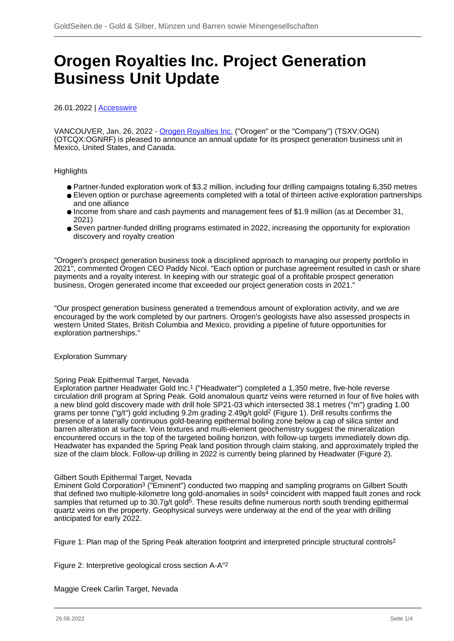# **Orogen Royalties Inc. Project Generation Business Unit Update**

26.01.2022 | [Accesswire](/profil/272--Accesswire)

VANCOUVER, Jan. 26, 2022 - [Orogen Royalties Inc.](/minen/3918--Orogen-Royalties-Inc) ("Orogen" or the "Company") (TSXV:OGN) (OTCQX:OGNRF) is pleased to announce an annual update for its prospect generation business unit in Mexico, United States, and Canada.

# **Highlights**

- Partner-funded exploration work of \$3.2 million, including four drilling campaigns totaling 6,350 metres
- Eleven option or purchase agreements completed with a total of thirteen active exploration partnerships and one alliance
- Income from share and cash payments and management fees of \$1.9 million (as at December 31, 2021)
- Seven partner-funded drilling programs estimated in 2022, increasing the opportunity for exploration discovery and royalty creation

"Orogen's prospect generation business took a disciplined approach to managing our property portfolio in 2021", commented Orogen CEO Paddy Nicol. "Each option or purchase agreement resulted in cash or share payments and a royalty interest. In keeping with our strategic goal of a profitable prospect generation business, Orogen generated income that exceeded our project generation costs in 2021."

"Our prospect generation business generated a tremendous amount of exploration activity, and we are encouraged by the work completed by our partners. Orogen's geologists have also assessed prospects in western United States, British Columbia and Mexico, providing a pipeline of future opportunities for exploration partnerships."

# Exploration Summary

# Spring Peak Epithermal Target, Nevada

Exploration partner Headwater Gold Inc.1 ("Headwater") completed a 1,350 metre, five-hole reverse circulation drill program at Spring Peak. Gold anomalous quartz veins were returned in four of five holes with a new blind gold discovery made with drill hole SP21-03 which intersected 38.1 metres ("m") grading 1.00 grams per tonne ("g/t") gold including 9.2m grading 2.49g/t gold2 (Figure 1). Drill results confirms the presence of a laterally continuous gold-bearing epithermal boiling zone below a cap of silica sinter and barren alteration at surface. Vein textures and multi-element geochemistry suggest the mineralization encountered occurs in the top of the targeted boiling horizon, with follow-up targets immediately down dip. Headwater has expanded the Spring Peak land position through claim staking, and approximately tripled the size of the claim block. Follow-up drilling in 2022 is currently being planned by Headwater (Figure 2).

#### Gilbert South Epithermal Target, Nevada

Eminent Gold Corporation3 ("Eminent") conducted two mapping and sampling programs on Gilbert South that defined two multiple-kilometre long gold-anomalies in soils<sup>4</sup> coincident with mapped fault zones and rock samples that returned up to 30.7g/t gold<sup>5</sup>. These results define numerous north south trending epithermal quartz veins on the property. Geophysical surveys were underway at the end of the year with drilling anticipated for early 2022.

Figure 1: Plan map of the Spring Peak alteration footprint and interpreted principle structural controls<sup>2</sup>

Figure 2: Interpretive geological cross section A-A"2

Maggie Creek Carlin Target, Nevada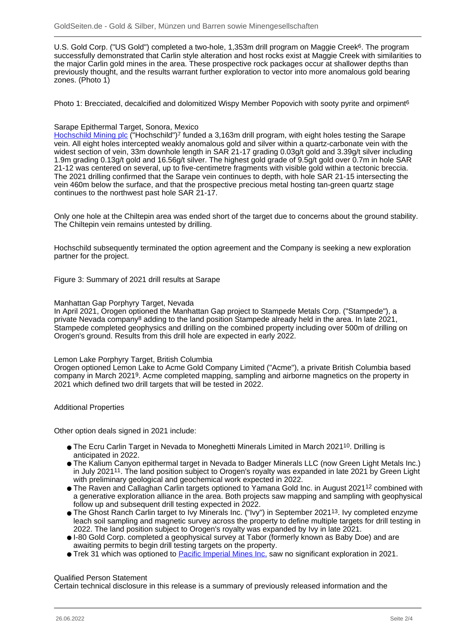U.S. Gold Corp. ("US Gold") completed a two-hole, 1,353m drill program on Maggie Creek6. The program successfully demonstrated that Carlin style alteration and host rocks exist at Maggie Creek with similarities to the major Carlin gold mines in the area. These prospective rock packages occur at shallower depths than previously thought, and the results warrant further exploration to vector into more anomalous gold bearing zones. (Photo 1)

Photo 1: Brecciated, decalcified and dolomitized Wispy Member Popovich with sooty pyrite and orpiment<sup>6</sup>

### Sarape Epithermal Target, Sonora, Mexico

[Hochschild Mining plc](/minen/688--Hochschild-Mining-plc) ("Hochschild")<sup>7</sup> funded a 3,163m drill program, with eight holes testing the Sarape vein. All eight holes intercepted weakly anomalous gold and silver within a quartz-carbonate vein with the widest section of vein, 33m downhole length in SAR 21-17 grading 0.03g/t gold and 3.39g/t silver including 1.9m grading 0.13g/t gold and 16.56g/t silver. The highest gold grade of 9.5g/t gold over 0.7m in hole SAR 21-12 was centered on several, up to five-centimetre fragments with visible gold within a tectonic breccia. The 2021 drilling confirmed that the Sarape vein continues to depth, with hole SAR 21-15 intersecting the vein 460m below the surface, and that the prospective precious metal hosting tan-green quartz stage continues to the northwest past hole SAR 21-17.

Only one hole at the Chiltepin area was ended short of the target due to concerns about the ground stability. The Chiltepin vein remains untested by drilling.

Hochschild subsequently terminated the option agreement and the Company is seeking a new exploration partner for the project.

Figure 3: Summary of 2021 drill results at Sarape

#### Manhattan Gap Porphyry Target, Nevada

In April 2021, Orogen optioned the Manhattan Gap project to Stampede Metals Corp. ("Stampede"), a private Nevada company8 adding to the land position Stampede already held in the area. In late 2021, Stampede completed geophysics and drilling on the combined property including over 500m of drilling on Orogen's ground. Results from this drill hole are expected in early 2022.

#### Lemon Lake Porphyry Target, British Columbia

Orogen optioned Lemon Lake to Acme Gold Company Limited ("Acme"), a private British Columbia based company in March 20219. Acme completed mapping, sampling and airborne magnetics on the property in 2021 which defined two drill targets that will be tested in 2022.

# Additional Properties

Other option deals signed in 2021 include:

- The Ecru Carlin Target in Nevada to Moneghetti Minerals Limited in March 2021<sup>10</sup>. Drilling is anticipated in 2022.
- The Kalium Canyon epithermal target in Nevada to Badger Minerals LLC (now Green Light Metals Inc.) in July 202111. The land position subject to Orogen's royalty was expanded in late 2021 by Green Light with preliminary geological and geochemical work expected in 2022.
- The Raven and Callaghan Carlin targets optioned to Yamana Gold Inc. in August 2021<sup>12</sup> combined with a generative exploration alliance in the area. Both projects saw mapping and sampling with geophysical follow up and subsequent drill testing expected in 2022.
- The Ghost Ranch Carlin target to Ivy Minerals Inc. ("Ivy") in September 202113. Ivy completed enzyme leach soil sampling and magnetic survey across the property to define multiple targets for drill testing in 2022. The land position subject to Orogen's royalty was expanded by Ivy in late 2021.
- I-80 Gold Corp. completed a geophysical survey at Tabor (formerly known as Baby Doe) and are awaiting permits to begin drill testing targets on the property.
- Trek 31 which was optioned to **Pacific Imperial Mines Inc.** saw no significant exploration in 2021.

# Qualified Person Statement

Certain technical disclosure in this release is a summary of previously released information and the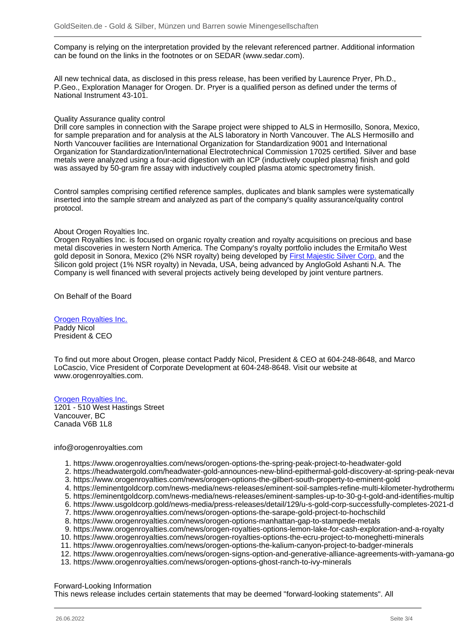Company is relying on the interpretation provided by the relevant referenced partner. Additional information can be found on the links in the footnotes or on SEDAR (www.sedar.com).

All new technical data, as disclosed in this press release, has been verified by Laurence Pryer, Ph.D., P.Geo., Exploration Manager for Orogen. Dr. Pryer is a qualified person as defined under the terms of National Instrument 43-101.

#### Quality Assurance quality control

Drill core samples in connection with the Sarape project were shipped to ALS in Hermosillo, Sonora, Mexico, for sample preparation and for analysis at the ALS laboratory in North Vancouver. The ALS Hermosillo and North Vancouver facilities are International Organization for Standardization 9001 and International Organization for Standardization/International Electrotechnical Commission 17025 certified. Silver and base metals were analyzed using a four-acid digestion with an ICP (inductively coupled plasma) finish and gold was assayed by 50-gram fire assay with inductively coupled plasma atomic spectrometry finish.

Control samples comprising certified reference samples, duplicates and blank samples were systematically inserted into the sample stream and analyzed as part of the company's quality assurance/quality control protocol.

#### About Orogen Royalties Inc.

Orogen Royalties Inc. is focused on organic royalty creation and royalty acquisitions on precious and base metal discoveries in western North America. The Company's royalty portfolio includes the Ermitaño West gold deposit in Sonora, Mexico (2% NSR royalty) being developed by **First Majestic Silver Corp.** and the Silicon gold project (1% NSR royalty) in Nevada, USA, being advanced by AngloGold Ashanti N.A. The Company is well financed with several projects actively being developed by joint venture partners.

On Behalf of the Board

# [Orogen Royalties Inc.](/minen/3918--Orogen-Royalties-Inc)

Paddy Nicol President & CEO

To find out more about Orogen, please contact Paddy Nicol, President & CEO at 604-248-8648, and Marco LoCascio, Vice President of Corporate Development at 604-248-8648. Visit our website at www.orogenroyalties.com.

#### [Orogen Royalties Inc.](/minen/3918--Orogen-Royalties-Inc)

1201 - 510 West Hastings Street Vancouver, BC Canada V6B 1L8

#### info@orogenroyalties.com

- 1. https://www.orogenroyalties.com/news/orogen-options-the-spring-peak-project-to-headwater-gold
- 2. https://headwatergold.com/headwater-gold-announces-new-blind-epithermal-gold-discovery-at-spring-peak-neva
- 3. https://www.orogenroyalties.com/news/orogen-options-the-gilbert-south-property-to-eminent-gold
- 4. https://eminentgoldcorp.com/news-media/news-releases/eminent-soil-samples-refine-multi-kilometer-hydrotherm
- 5. https://eminentgoldcorp.com/news-media/news-releases/eminent-samples-up-to-30-g-t-gold-and-identifies-multip
- 6. https://www.usgoldcorp.gold/news-media/press-releases/detail/129/u-s-gold-corp-successfully-completes-2021-d
- 7. https://www.orogenroyalties.com/news/orogen-options-the-sarape-gold-project-to-hochschild
- 8. https://www.orogenroyalties.com/news/orogen-options-manhattan-gap-to-stampede-metals
- 9. https://www.orogenroyalties.com/news/orogen-royalties-options-lemon-lake-for-cash-exploration-and-a-royalty
- 10. https://www.orogenroyalties.com/news/orogen-royalties-options-the-ecru-project-to-moneghetti-minerals
- 11. https://www.orogenroyalties.com/news/orogen-options-the-kalium-canyon-project-to-badger-minerals
- 12. https://www.orogenroyalties.com/news/orogen-signs-option-and-generative-alliance-agreements-with-yamana-gold
- 13. https://www.orogenroyalties.com/news/orogen-options-ghost-ranch-to-ivy-minerals

#### Forward-Looking Information

This news release includes certain statements that may be deemed "forward-looking statements". All